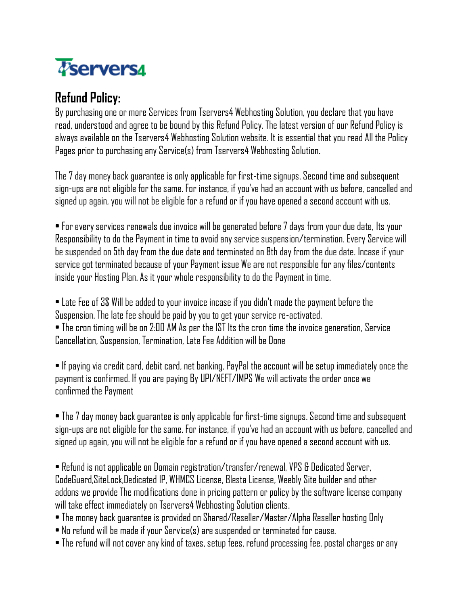

## **Refund Policy:**

By purchasing one or more Services from Tservers4 Webhosting Solution, you declare that you have read, understood and agree to be bound by this Refund Policy. The latest version of our Refund Policy is always available on the Tservers4 Webhosting Solution website. It is essential that you read All the Policy Pages prior to purchasing any Service(s) from Tservers4 Webhosting Solution.

The 7 day money back guarantee is only applicable for first-time signups. Second time and subsequent sign-ups are not eligible for the same. For instance, if you've had an account with us before, cancelled and signed up again, you will not be eligible for a refund or if you have opened a second account with us.

• For every services renewals due invoice will be generated before 7 days from your due date, Its your Responsibility to do the Payment in time to avoid any service suspension/termination. Every Service will be suspended on 5th day from the due date and terminated on 8th day from the due date. Incase if your service got terminated because of your Payment issue We are not responsible for any files/contents inside your Hosting Plan. As it your whole responsibility to do the Payment in time.

• Late Fee of 3\$ Will be added to your invoice incase if you didn't made the payment before the Suspension. The late fee should be paid by you to get your service re-activated. • The cron timing will be on 2:00 AM As per the IST Its the cron time the invoice generation, Service Cancellation, Suspension, Termination, Late Fee Addition will be Done

• If paying via credit card, debit card, net banking, PayPal the account will be setup immediately once the payment is confirmed. If you are paying By UPI/NEFT/IMPS We will activate the order once we confirmed the Payment

• The 7 day money back guarantee is only applicable for first-time signups. Second time and subsequent sign-ups are not eligible for the same. For instance, if you've had an account with us before, cancelled and signed up again, you will not be eligible for a refund or if you have opened a second account with us.

• Refund is not applicable on Domain registration/transfer/renewal, VPS & Dedicated Server, CodeGuard,SiteLock,Dedicated IP, WHMCS License, Blesta License, Weebly Site builder and other addons we provide The modifications done in pricing pattern or policy by the software license company will take effect immediately on Tservers4 Webhosting Solution clients.

- The money back guarantee is provided on Shared/Reseller/Master/Alpha Reseller hosting Only
- No refund will be made if your Service(s) are suspended or terminated for cause.
- The refund will not cover any kind of taxes, setup fees, refund processing fee, postal charges or any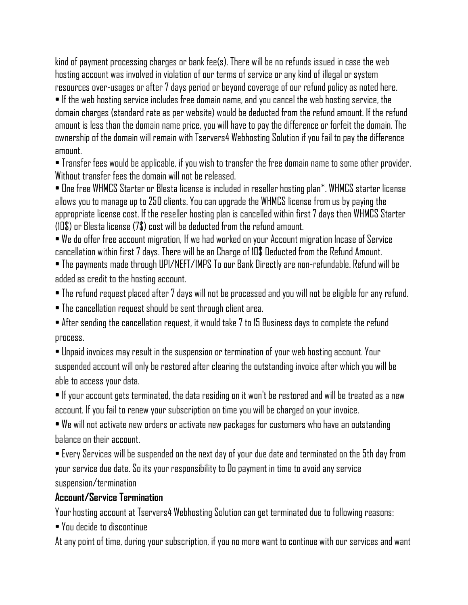kind of payment processing charges or bank fee(s). There will be no refunds issued in case the web hosting account was involved in violation of our terms of service or any kind of illegal or system resources over-usages or after 7 days period or beyond coverage of our refund policy as noted here. • If the web hosting service includes free domain name, and you cancel the web hosting service, the domain charges (standard rate as per website) would be deducted from the refund amount. If the refund amount is less than the domain name price, you will have to pay the difference or forfeit the domain. The ownership of the domain will remain with Tservers4 Webhosting Solution if you fail to pay the difference amount.

• Transfer fees would be applicable, if you wish to transfer the free domain name to some other provider. Without transfer fees the domain will not be released.

• One free WHMCS Starter or Blesta license is included in reseller hosting plan\*. WHMCS starter license allows you to manage up to 250 clients. You can upgrade the WHMCS license from us by paying the appropriate license cost. If the reseller hosting plan is cancelled within first 7 days then WHMCS Starter (10\$) or Blesta license (7\$) cost will be deducted from the refund amount.

• We do offer free account migration, If we had worked on your Account migration Incase of Service cancellation within first 7 days. There will be an Charge of 10\$ Deducted from the Refund Amount.

• The payments made through UPI/NEFT/IMPS To our Bank Directly are non-refundable. Refund will be added as credit to the hosting account.

• The refund request placed after 7 days will not be processed and you will not be eligible for any refund.

• The cancellation request should be sent through client area.

• After sending the cancellation request, it would take 7 to 15 Business days to complete the refund process.

• Unpaid invoices may result in the suspension or termination of your web hosting account. Your suspended account will only be restored after clearing the outstanding invoice after which you will be able to access your data.

 $\bullet$  If your account gets terminated, the data residing on it won't be restored and will be treated as a new account. If you fail to renew your subscription on time you will be charged on your invoice.

• We will not activate new orders or activate new packages for customers who have an outstanding balance on their account.

• Every Services will be suspended on the next day of your due date and terminated on the 5th day from your service due date. So its your responsibility to Do payment in time to avoid any service suspension/termination

## **Account/Service Termination**

Your hosting account at Tservers4 Webhosting Solution can get terminated due to following reasons:

• You decide to discontinue

At any point of time, during your subscription, if you no more want to continue with our services and want